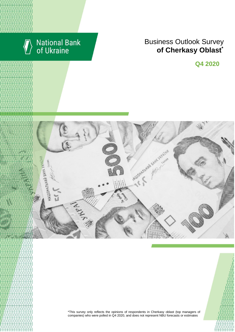

# **National Bank**<br>of Ukraine

## **Rusiness Outlook Survey**  $\bullet$  of Cherkasy Oblast<sup>\*</sup> області щодо їх ділових очікувань та повідкань business expectations \*

**Q4 2020**



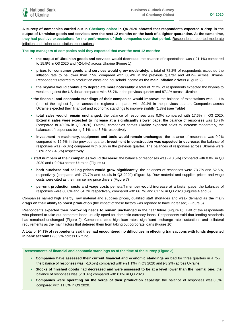**A survey of companies carried out in Cherkasy oblast in Q4 2020 showed that respondents expected a drop in the output of Ukrainian goods and services over the next 12 months on the back of a tighter quarantine. At the same time, they had positive expectations for the performance of their companies over that period.** Respondents reported moderate inflation and higher depreciation expectations.

**The top managers of companies said they expected that over the next 12 months:**

- **the output of Ukrainian goods and services would decrease**: the balance of expectations was (-21.1%) compared to 15.8% in Q3 2020 and (-24.4%) across Ukraine (Figure 1)
- **prices for consumer goods and services would grow moderately:** a total of 72.2% of respondents expected the inflation rate to be lower than 7.5% compared with 68.4% in the previous quarter and 49.2% across Ukraine. Respondents referred to production costs and household income as **the main inflation drivers** (Figure 2)
- **the hryvnia would continue to depreciate more noticeably:** a total of 72.2% of respondents expected the hryvnia to weaken against the US dollar compared with 66.7% in the previous quarter and 87.1% across Ukraine
- **the financial and economic standings of their companies would improve:** the balance of expectations was 11.1% (one of the highest figures across the regions) compared with 29.4% in the previous quarter. Companies across Ukraine expected their financial and economic standings to improve slightly (1.3%) (see Table)
- **total sales would remain unchanged**: the balance of responses was 0.0% compared with 17.6% in Q3 2020. **External sales were expected to increase at a significantly slower pace**: the balance of responses was 16.7% (compared to 40.0% in Q3 2020). Overall, companies across Ukraine expected sales to increase moderately, the balances of responses being 7.1% and 3.8% respectively
- **investment in machinery, equipment and tools would remain unchanged**: the balance of responses was 0.0% compared to 12.5% in the previous quarter. **Investment in construction was expected to decrease**: the balance of responses was (-6.3%) compared with 6.3% in the previous quarter. The balances of responses across Ukraine were 3.8% and (-4.5%) respectively
- **staff numbers at their companies would decrease:** the balance of responses was (-10.5%) compared with 0.0% in Q3 2020 and (-9.9%) across Ukraine (Figure 4)
- **both purchase and selling prices would grow significantly:** the balances of responses were 73.7% and 52.6%, respectively (compared with 73.7% and 44.4% in Q3 2020) (Figure 6). Raw material and supplies prices and wage costs were cited as the main selling price drivers (Figure 7)
- **per-unit production costs and wage costs per staff member would increase at a faster pace**: the balances of responses were 68.8% and 64.7% respectively, compared with 66.7% and 61.1% in Q3 2020 (Figures 4 and 6).

Companies named high energy, raw material and supplies prices, qualified staff shortages and weak demand as **the main drags on their ability to boost production** (the impact of these factors was reported to have increased) (Figure 5).

Respondents expected **their borrowing needs to remain unchanged** in the near future (Figure 8). Half of the respondents who planned to take out corporate loans usually opted for domestic currency loans. Respondents said that lending standards had remained unchanged (Figure 9). Companies cited high loan rates, significant exchange rate fluctuations and collateral requirements as the main factors that deterred them from taking out corporate loans (Figure 10).

A total of **94.7% of respondents** said **they had encountered no difficulties in effecting transactions with funds deposited in bank accounts** (96.9% across Ukraine).

#### **Assessments of financial and economic standings as of the time of the survey** (Figure 3)

- **Companies have assessed their current financial and economic standings as bad** for three quarters in a row**:** the balance of responses was (-10.5%) compared with (-21.1%) in Q3 2020 and (-3.2%) across Ukraine.
- **Stocks of finished goods had decreased and were assessed to be at a level lower than the normal one:** the balance of responses was (-10.0%) compared with 0.0% in Q3 2020.
- **Companies were operating on the verge of their production capacity:** the balance of responses was 0.0% compared with 11.8% in Q3 2020.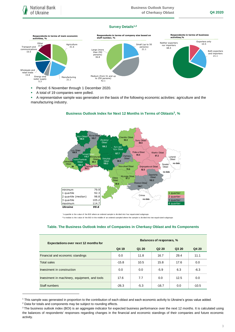#### **Survey Details1,2**



- **Period: 6 November through 1 December 2020.**
- A total of 19 companies were polled.
- A representative sample was generated on the basis of the following economic activities: agriculture and the manufacturing industry.



### **Business Outlook Index for Next 12 Months in Terms of Oblasts<sup>3</sup> , %**

\*a quartile is the v alue of the BOI where an ordered sample is div ided into f our equal-sized subgroups

\*\*a median is the v alue of the BOI in the middle of an ordered sampled where the sample is divided into two equal-sized subgroups

#### **Table. The Business Outlook Index of Companies in Cherkasy Oblast and Its Components**

| <b>Expectations over next 12 months for</b>   | Balances of responses, % |        |                               |       |         |
|-----------------------------------------------|--------------------------|--------|-------------------------------|-------|---------|
|                                               | Q4 19                    | Q1 20  | Q <sub>2</sub> 2 <sub>0</sub> | Q3 20 | Q4 20   |
| Financial and economic standings              | 0.0                      | 11.8   | 16.7                          | 29.4  | 11.1    |
| Total sales                                   | $-15.8$                  | 10.5   | 15.8                          | 17.6  | 0.0     |
| Investment in construction                    | 0.0                      | 0.0    | $-5.9$                        | 6.3   | $-6.3$  |
| Investment in machinery, equipment, and tools | 17.6                     | 7.7    | 0.0                           | 12.5  | 0.0     |
| Staff numbers                                 | $-26.3$                  | $-5.3$ | $-16.7$                       | 0.0   | $-10.5$ |

<sup>1</sup> This sample was generated in proportion to the contribution of each oblast and each economic activity to Ukraine's gross value added.

1

<sup>2</sup> Data for totals and components may be subject to rounding effects.

<sup>&</sup>lt;sup>3</sup> The business outlook index (BOI) is an aggregate indicator for expected business performance over the next 12 months. It is calculated using the balances of respondents' responses regarding changes in the financial and economic standings of their companies and future economic activity.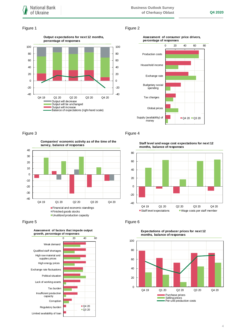#### Figure 1 Figure 2







Figure 3 Figure 4

 $-40$ -30 -20 -10 0 10 20 30 40 Q4 19 Q1 20 Q2 20 Q3 20 Q4 20 **Companies' economic activity as of the time of the survey, balance of responses** Financial and economic standings Finished goods stocks **Unutilized production capacity** 





**Staff level and wage cost expectations for next 12 months, balance of responses**





**Expectations of producer prices for next 12 months, balance of responses**